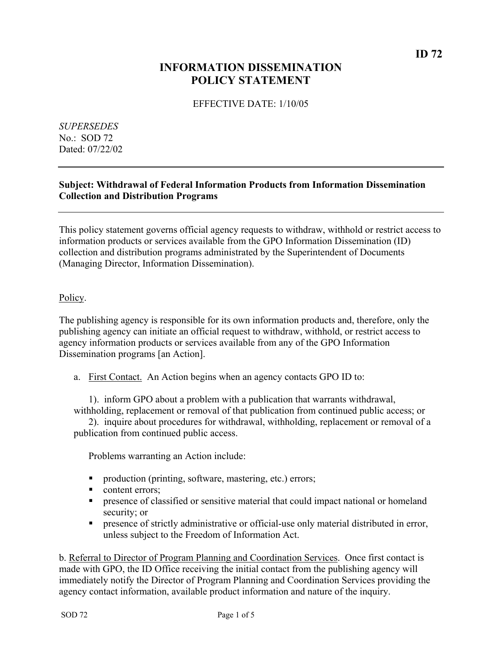# **INFORMATION DISSEMINATION POLICY STATEMENT**

# EFFECTIVE DATE: 1/10/05

*SUPERSEDES*  No.: SOD 72 Dated: 07/22/02

# **Subject: Withdrawal of Federal Information Products from Information Dissemination Collection and Distribution Programs**

This policy statement governs official agency requests to withdraw, withhold or restrict access to information products or services available from the GPO Information Dissemination (ID) collection and distribution programs administrated by the Superintendent of Documents (Managing Director, Information Dissemination).

## Policy.

The publishing agency is responsible for its own information products and, therefore, only the publishing agency can initiate an official request to withdraw, withhold, or restrict access to agency information products or services available from any of the GPO Information Dissemination programs [an Action].

a. First Contact. An Action begins when an agency contacts GPO ID to:

1). inform GPO about a problem with a publication that warrants withdrawal, withholding, replacement or removal of that publication from continued public access; or

2). inquire about procedures for withdrawal, withholding, replacement or removal of a publication from continued public access.

Problems warranting an Action include:

- production (printing, software, mastering, etc.) errors;
- content errors:
- **Performance of classified or sensitive material that could impact national or homeland** security; or
- **PEDIE:** presence of strictly administrative or official-use only material distributed in error, unless subject to the Freedom of Information Act.

b. Referral to Director of Program Planning and Coordination Services. Once first contact is made with GPO, the ID Office receiving the initial contact from the publishing agency will immediately notify the Director of Program Planning and Coordination Services providing the agency contact information, available product information and nature of the inquiry.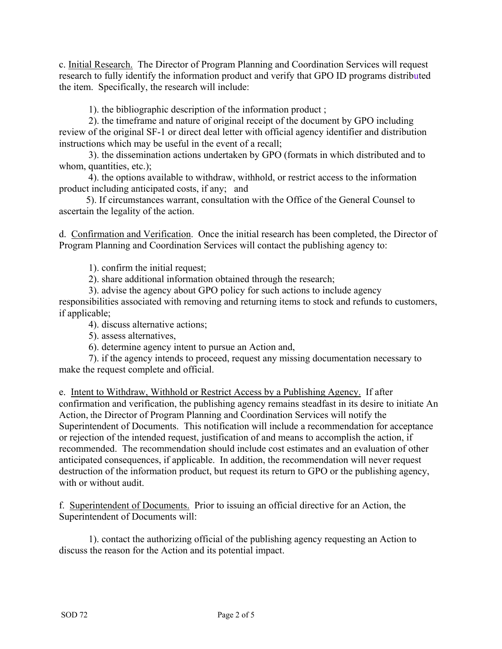c. Initial Research. The Director of Program Planning and Coordination Services will request research to fully identify the information product and verify that GPO ID programs distributed the item. Specifically, the research will include:

1). the bibliographic description of the information product ;

 2). the timeframe and nature of original receipt of the document by GPO including review of the original SF-1 or direct deal letter with official agency identifier and distribution instructions which may be useful in the event of a recall;

 3). the dissemination actions undertaken by GPO (formats in which distributed and to whom, quantities, etc.);

 4). the options available to withdraw, withhold, or restrict access to the information product including anticipated costs, if any; and

 5). If circumstances warrant, consultation with the Office of the General Counsel to ascertain the legality of the action.

d. Confirmation and Verification. Once the initial research has been completed, the Director of Program Planning and Coordination Services will contact the publishing agency to:

1). confirm the initial request;

2). share additional information obtained through the research;

3). advise the agency about GPO policy for such actions to include agency

responsibilities associated with removing and returning items to stock and refunds to customers, if applicable;

4). discuss alternative actions;

5). assess alternatives,

6). determine agency intent to pursue an Action and,

7). if the agency intends to proceed, request any missing documentation necessary to make the request complete and official.

e. Intent to Withdraw, Withhold or Restrict Access by a Publishing Agency. If after confirmation and verification, the publishing agency remains steadfast in its desire to initiate An Action, the Director of Program Planning and Coordination Services will notify the Superintendent of Documents. This notification will include a recommendation for acceptance or rejection of the intended request, justification of and means to accomplish the action, if recommended. The recommendation should include cost estimates and an evaluation of other anticipated consequences, if applicable. In addition, the recommendation will never request destruction of the information product, but request its return to GPO or the publishing agency, with or without audit.

f. Superintendent of Documents. Prior to issuing an official directive for an Action, the Superintendent of Documents will:

1). contact the authorizing official of the publishing agency requesting an Action to discuss the reason for the Action and its potential impact.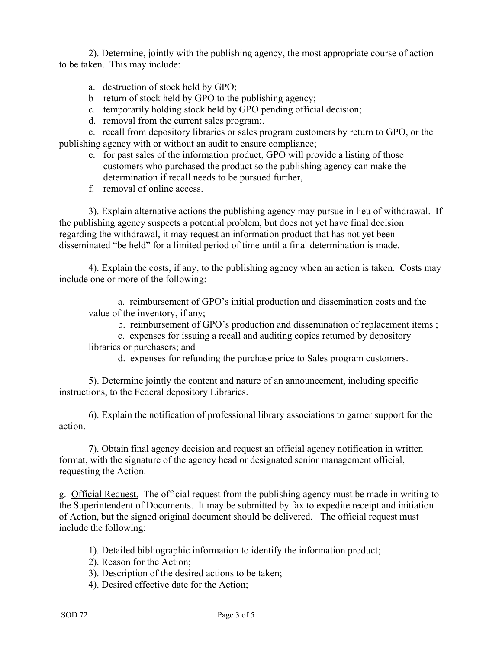2). Determine, jointly with the publishing agency, the most appropriate course of action to be taken. This may include:

- a. destruction of stock held by GPO;
- b return of stock held by GPO to the publishing agency;
- c. temporarily holding stock held by GPO pending official decision;
- d. removal from the current sales program;.

e. recall from depository libraries or sales program customers by return to GPO, or the publishing agency with or without an audit to ensure compliance;

- e. for past sales of the information product, GPO will provide a listing of those customers who purchased the product so the publishing agency can make the determination if recall needs to be pursued further,
- f. removal of online access.

3). Explain alternative actions the publishing agency may pursue in lieu of withdrawal. If the publishing agency suspects a potential problem, but does not yet have final decision regarding the withdrawal, it may request an information product that has not yet been disseminated "be held" for a limited period of time until a final determination is made.

4). Explain the costs, if any, to the publishing agency when an action is taken. Costs may include one or more of the following:

a. reimbursement of GPO's initial production and dissemination costs and the value of the inventory, if any;

b. reimbursement of GPO's production and dissemination of replacement items ;

c. expenses for issuing a recall and auditing copies returned by depository libraries or purchasers; and

d. expenses for refunding the purchase price to Sales program customers.

5). Determine jointly the content and nature of an announcement, including specific instructions, to the Federal depository Libraries.

6). Explain the notification of professional library associations to garner support for the action.

7). Obtain final agency decision and request an official agency notification in written format, with the signature of the agency head or designated senior management official, requesting the Action.

g. Official Request. The official request from the publishing agency must be made in writing to the Superintendent of Documents. It may be submitted by fax to expedite receipt and initiation of Action, but the signed original document should be delivered. The official request must include the following:

1). Detailed bibliographic information to identify the information product;

2). Reason for the Action;

3). Description of the desired actions to be taken;

4). Desired effective date for the Action;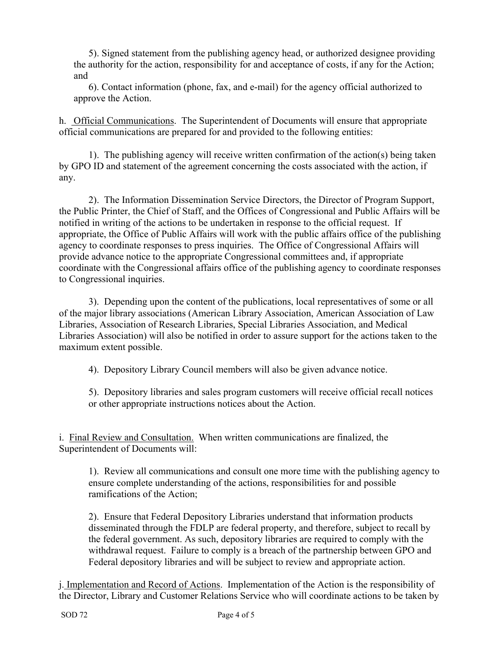5). Signed statement from the publishing agency head, or authorized designee providing the authority for the action, responsibility for and acceptance of costs, if any for the Action; and

6). Contact information (phone, fax, and e-mail) for the agency official authorized to approve the Action.

h. Official Communications. The Superintendent of Documents will ensure that appropriate official communications are prepared for and provided to the following entities:

1). The publishing agency will receive written confirmation of the action(s) being taken by GPO ID and statement of the agreement concerning the costs associated with the action, if any.

2). The Information Dissemination Service Directors, the Director of Program Support, the Public Printer, the Chief of Staff, and the Offices of Congressional and Public Affairs will be notified in writing of the actions to be undertaken in response to the official request. If appropriate, the Office of Public Affairs will work with the public affairs office of the publishing agency to coordinate responses to press inquiries. The Office of Congressional Affairs will provide advance notice to the appropriate Congressional committees and, if appropriate coordinate with the Congressional affairs office of the publishing agency to coordinate responses to Congressional inquiries.

3). Depending upon the content of the publications, local representatives of some or all of the major library associations (American Library Association, American Association of Law Libraries, Association of Research Libraries, Special Libraries Association, and Medical Libraries Association) will also be notified in order to assure support for the actions taken to the maximum extent possible.

4). Depository Library Council members will also be given advance notice.

5). Depository libraries and sales program customers will receive official recall notices or other appropriate instructions notices about the Action.

i. Final Review and Consultation. When written communications are finalized, the Superintendent of Documents will:

1). Review all communications and consult one more time with the publishing agency to ensure complete understanding of the actions, responsibilities for and possible ramifications of the Action;

2). Ensure that Federal Depository Libraries understand that information products disseminated through the FDLP are federal property, and therefore, subject to recall by the federal government. As such, depository libraries are required to comply with the withdrawal request. Failure to comply is a breach of the partnership between GPO and Federal depository libraries and will be subject to review and appropriate action.

j. Implementation and Record of Actions. Implementation of the Action is the responsibility of the Director, Library and Customer Relations Service who will coordinate actions to be taken by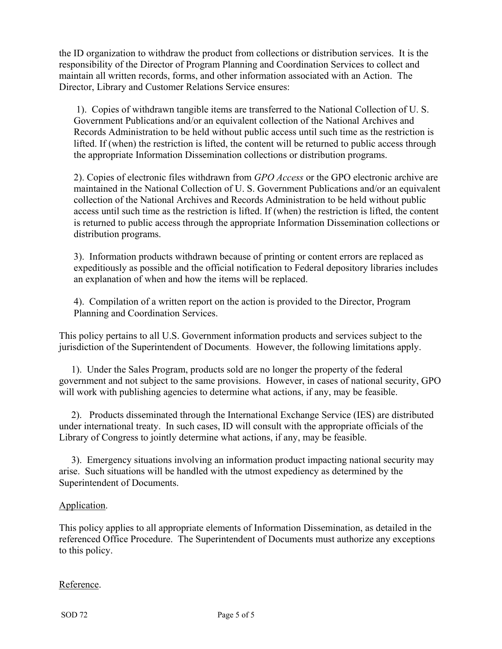the ID organization to withdraw the product from collections or distribution services. It is the responsibility of the Director of Program Planning and Coordination Services to collect and maintain all written records, forms, and other information associated with an Action. The Director, Library and Customer Relations Service ensures:

 1). Copies of withdrawn tangible items are transferred to the National Collection of U. S. Government Publications and/or an equivalent collection of the National Archives and Records Administration to be held without public access until such time as the restriction is lifted. If (when) the restriction is lifted, the content will be returned to public access through the appropriate Information Dissemination collections or distribution programs.

2). Copies of electronic files withdrawn from *GPO Access* or the GPO electronic archive are maintained in the National Collection of U. S. Government Publications and/or an equivalent collection of the National Archives and Records Administration to be held without public access until such time as the restriction is lifted. If (when) the restriction is lifted, the content is returned to public access through the appropriate Information Dissemination collections or distribution programs.

3). Information products withdrawn because of printing or content errors are replaced as expeditiously as possible and the official notification to Federal depository libraries includes an explanation of when and how the items will be replaced.

4). Compilation of a written report on the action is provided to the Director, Program Planning and Coordination Services.

This policy pertains to all U.S. Government information products and services subject to the jurisdiction of the Superintendent of Documents. However, the following limitations apply.

 1). Under the Sales Program, products sold are no longer the property of the federal government and not subject to the same provisions. However, in cases of national security, GPO will work with publishing agencies to determine what actions, if any, may be feasible.

 2). Products disseminated through the International Exchange Service (IES) are distributed under international treaty. In such cases, ID will consult with the appropriate officials of the Library of Congress to jointly determine what actions, if any, may be feasible.

 3). Emergency situations involving an information product impacting national security may arise. Such situations will be handled with the utmost expediency as determined by the Superintendent of Documents.

### Application.

This policy applies to all appropriate elements of Information Dissemination, as detailed in the referenced Office Procedure. The Superintendent of Documents must authorize any exceptions to this policy.

### Reference.